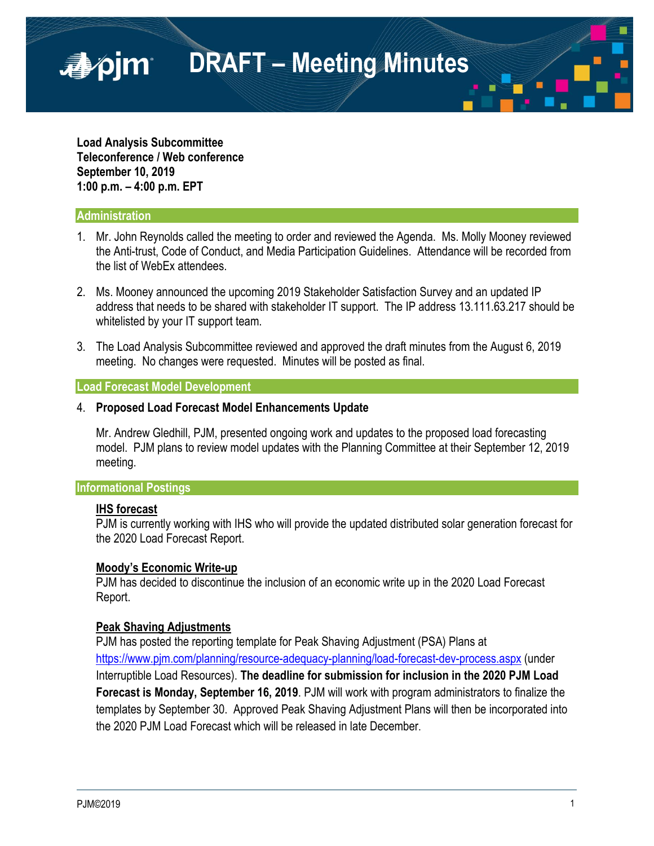

**Load Analysis Subcommittee Teleconference / Web conference September 10, 2019 1:00 p.m. – 4:00 p.m. EPT**

#### **Administration**

- 1. Mr. John Reynolds called the meeting to order and reviewed the Agenda. Ms. Molly Mooney reviewed the Anti-trust, Code of Conduct, and Media Participation Guidelines. Attendance will be recorded from the list of WebEx attendees.
- 2. Ms. Mooney announced the upcoming 2019 Stakeholder Satisfaction Survey and an updated IP address that needs to be shared with stakeholder IT support. The IP address 13.111.63.217 should be whitelisted by your IT support team.
- 3. The Load Analysis Subcommittee reviewed and approved the draft minutes from the August 6, 2019 meeting. No changes were requested. Minutes will be posted as final.

#### **Load Forecast Model Development**

#### 4. **Proposed Load Forecast Model Enhancements Update**

Mr. Andrew Gledhill, PJM, presented ongoing work and updates to the proposed load forecasting model. PJM plans to review model updates with the Planning Committee at their September 12, 2019 meeting.

## **Informational Postings**

## **IHS forecast**

PJM is currently working with IHS who will provide the updated distributed solar generation forecast for the 2020 Load Forecast Report.

## **Moody's Economic Write-up**

PJM has decided to discontinue the inclusion of an economic write up in the 2020 Load Forecast Report.

## **Peak Shaving Adjustments**

PJM has posted the reporting template for Peak Shaving Adjustment (PSA) Plans at <https://www.pjm.com/planning/resource-adequacy-planning/load-forecast-dev-process.aspx> (under Interruptible Load Resources). **The deadline for submission for inclusion in the 2020 PJM Load Forecast is Monday, September 16, 2019**. PJM will work with program administrators to finalize the templates by September 30. Approved Peak Shaving Adjustment Plans will then be incorporated into the 2020 PJM Load Forecast which will be released in late December.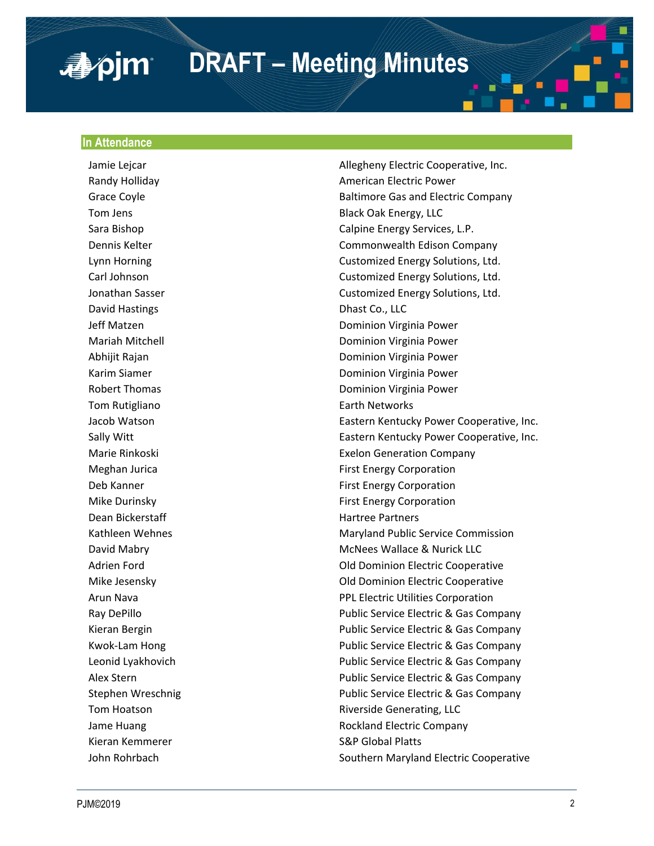# **DRAFT – Meeting Minutes**

#### **In Attendance**

■pim

David Hastings **Dhast Co.**, LLC Tom Rutigliano **Earth Networks** Dean Bickerstaff **Hartree Partners Hartree Partners** Kieran Kemmerer S&P Global Platts

Jamie Lejcar **Allegheny Electric Cooperative, Inc.** Allegheny Electric Cooperative, Inc. Randy Holliday **American Electric Power** American Electric Power Grace Coyle **Grace Coyle Company** Baltimore Gas and Electric Company Tom Jens **Black Oak Energy, LLC** Sara Bishop **Calpine Energy Services, L.P.** Calpine Energy Services, L.P. Dennis Kelter Commonwealth Edison Company Lynn Horning Customized Energy Solutions, Ltd. Carl Johnson Customized Energy Solutions, Ltd. Jonathan Sasser Customized Energy Solutions, Ltd. Jeff Matzen Dominion Virginia Power Mariah Mitchell Dominion Virginia Power Abhijit Rajan **Dominion Virginia Power** Karim Siamer **Dominion Virginia Power** Robert Thomas **Dominion Virginia Power** Jacob Watson **Eastern Kentucky Power Cooperative, Inc.** Eastern Kentucky Power Cooperative, Inc. Sally Witt **Eastern Kentucky Power Cooperative, Inc.** Eastern Kentucky Power Cooperative, Inc. Marie Rinkoski Exelon Generation Company Meghan Jurica **First Energy Corporation** Deb Kanner First Energy Corporation Mike Durinsky **First Energy Corporation** Kathleen Wehnes **Maryland Public Service Commission** David Mabry **McNees Wallace & Nurick LLC** Adrien Ford **Communist Cooperative** Cooperative Cooperative Cooperative Mike Jesensky Old Dominion Electric Cooperative Arun Nava **PPL Electric Utilities Corporation** Ray DePillo **Public Service Electric & Gas Company** Kieran Bergin Public Service Electric & Gas Company Kwok-Lam Hong **Public Service Electric & Gas Company** Leonid Lyakhovich Public Service Electric & Gas Company Alex Stern Public Service Electric & Gas Company Stephen Wreschnig **Public Service Electric & Gas Company** Tom Hoatson **Riverside Generating, LLC** Jame Huang Rockland Electric Company John Rohrbach **Southern Maryland Electric Cooperative** Southern Maryland Electric Cooperative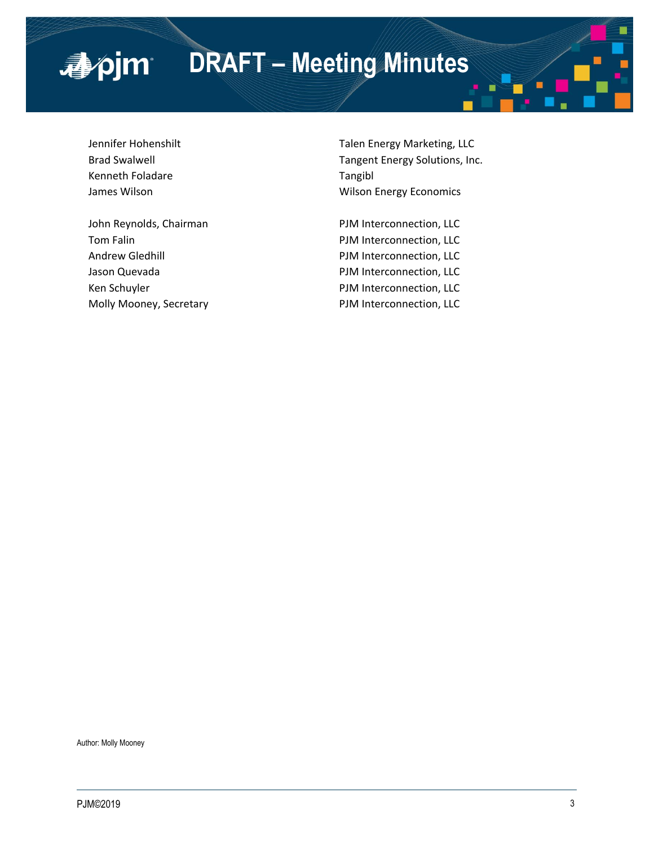# **DRAFT – Meeting Minutes**

Kenneth Foladare Tangibl

■pjm

Jennifer Hohenshilt Talen Energy Marketing, LLC Brad Swalwell **Tangent Energy Solutions**, Inc. James Wilson **Milton Energy Economics Wilson Energy Economics** 

John Reynolds, Chairman PJM Interconnection, LLC Tom Falin **PJM** Interconnection, LLC Andrew Gledhill **Andrew Gledhill** PJM Interconnection, LLC Jason Quevada **PJM Interconnection**, LLC Ken Schuyler **PJM** Interconnection, LLC Molly Mooney, Secretary **PJM Interconnection**, LLC

Author: Molly Mooney